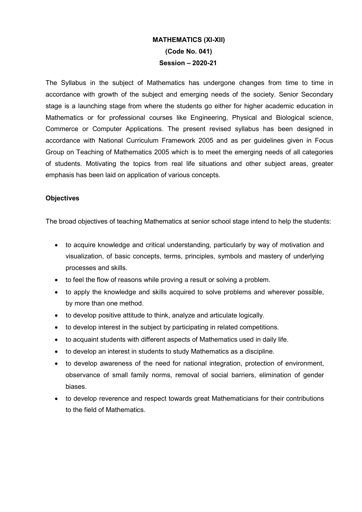## MATHEMATICS (XI-XII) (Code No. 041) Session – 2020-21

The Syllabus in the subject of Mathematics has undergone changes from time to time in accordance with growth of the subject and emerging needs of the society. Senior Secondary stage is a launching stage from where the students go either for higher academic education in Mathematics or for professional courses like Engineering, Physical and Biological science, Commerce or Computer Applications. The present revised syllabus has been designed in accordance with National Curriculum Framework 2005 and as per guidelines given in Focus Group on Teaching of Mathematics 2005 which is to meet the emerging needs of all categories of students. Motivating the topics from real life situations and other subject areas, greater emphasis has been laid on application of various concepts.

## **Objectives**

The broad objectives of teaching Mathematics at senior school stage intend to help the students:

- to acquire knowledge and critical understanding, particularly by way of motivation and visualization, of basic concepts, terms, principles, symbols and mastery of underlying processes and skills.
- to feel the flow of reasons while proving a result or solving a problem.
- to apply the knowledge and skills acquired to solve problems and wherever possible. by more than one method.
- to develop positive attitude to think, analyze and articulate logically.
- to develop interest in the subject by participating in related competitions.
- to acquaint students with different aspects of Mathematics used in daily life.
- to develop an interest in students to study Mathematics as a discipline.
- to develop awareness of the need for national integration, protection of environment, observance of small family norms, removal of social barriers, elimination of gender biases.
- to develop reverence and respect towards great Mathematicians for their contributions to the field of Mathematics.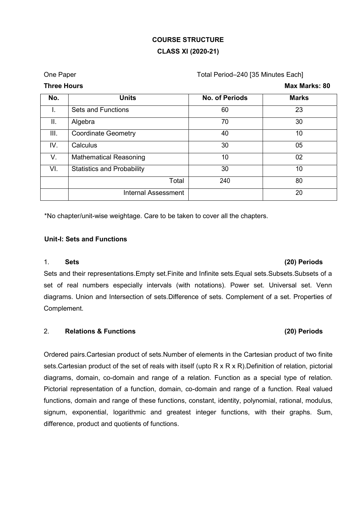# COURSE STRUCTURE CLASS XI (2020-21)

## One Paper **The Paper Cone Paper Cone Paper** Total Period–240 [35 Minutes Each]

| No.             | <b>Units</b>                      | <b>No. of Periods</b> | <b>Marks</b> |
|-----------------|-----------------------------------|-----------------------|--------------|
| ι.              | <b>Sets and Functions</b>         | 60                    | 23           |
| $\mathbf{II}$ . | Algebra                           | 70                    | 30           |
| III.            | <b>Coordinate Geometry</b>        | 40                    | 10           |
| IV.             | Calculus                          | 30                    | 05           |
| V.              | <b>Mathematical Reasoning</b>     | 10                    | 02           |
| VI.             | <b>Statistics and Probability</b> | 30                    | 10           |
|                 | Total                             | 240                   | 80           |
|                 | <b>Internal Assessment</b>        |                       | 20           |

\*No chapter/unit-wise weightage. Care to be taken to cover all the chapters.

## Unit-I: Sets and Functions

## 1. Sets (20) Periods

# Sets and their representations.Empty set.Finite and Infinite sets.Equal sets.Subsets.Subsets of a set of real numbers especially intervals (with notations). Power set. Universal set. Venn diagrams. Union and Intersection of sets.Difference of sets. Complement of a set. Properties of Complement.

## 2. Relations & Functions (20) Periods

# Ordered pairs.Cartesian product of sets.Number of elements in the Cartesian product of two finite sets.Cartesian product of the set of reals with itself (upto R x R x R).Definition of relation, pictorial diagrams, domain, co-domain and range of a relation. Function as a special type of relation. Pictorial representation of a function, domain, co-domain and range of a function. Real valued functions, domain and range of these functions, constant, identity, polynomial, rational, modulus, signum, exponential, logarithmic and greatest integer functions, with their graphs. Sum, difference, product and quotients of functions.

Three Hours **Max Marks: 80**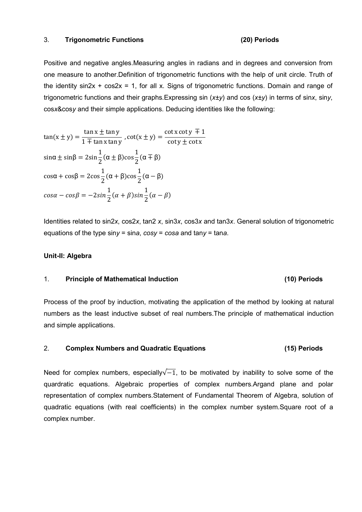## 3. Trigonometric Functions (20) Periods

Positive and negative angles.Measuring angles in radians and in degrees and conversion from one measure to another.Definition of trigonometric functions with the help of unit circle. Truth of the identity  $sin2x + cos2x = 1$ , for all x. Signs of trigonometric functions. Domain and range of trigonometric functions and their graphs. Expressing sin  $(x \pm y)$  and cos  $(x \pm y)$  in terms of sinx, siny, cosx&cosy and their simple applications. Deducing identities like the following:

$$
\tan(x \pm y) = \frac{\tan x \pm \tan y}{1 \mp \tan x \tan y}, \cot(x \pm y) = \frac{\cot x \cot y \mp 1}{\cot y \pm \cot x}
$$
  
\n
$$
\sin \alpha \pm \sin \beta = 2\sin \frac{1}{2} (\alpha \pm \beta) \cos \frac{1}{2} (\alpha \mp \beta)
$$
  
\n
$$
\cos \alpha + \cos \beta = 2\cos \frac{1}{2} (\alpha + \beta) \cos \frac{1}{2} (\alpha - \beta)
$$
  
\n
$$
\cos \alpha - \cos \beta = -2\sin \frac{1}{2} (\alpha + \beta) \sin \frac{1}{2} (\alpha - \beta)
$$

Identities related to sin2x, cos2x, tan2 x, sin3x, cos3x and tan3x. General solution of trigonometric equations of the type siny = sina,  $cosy = cosa$  and tany = tana.

## Unit-II: Algebra

## 1. Principle of Mathematical Induction (10) Periods

Process of the proof by induction, motivating the application of the method by looking at natural numbers as the least inductive subset of real numbers.The principle of mathematical induction and simple applications.

## 2. Complex Numbers and Quadratic Equations (15) Periods

Need for complex numbers, especially $\sqrt{-1}$ , to be motivated by inability to solve some of the quardratic equations. Algebraic properties of complex numbers.Argand plane and polar representation of complex numbers.Statement of Fundamental Theorem of Algebra, solution of quadratic equations (with real coefficients) in the complex number system.Square root of a complex number.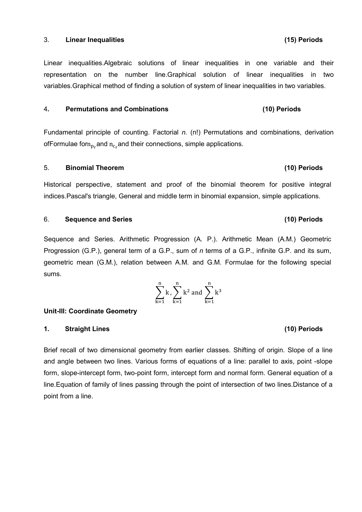## 3. Linear Inequalities (15) Periods

Linear inequalities.Algebraic solutions of linear inequalities in one variable and their representation on the number line.Graphical solution of linear inequalities in two variables.Graphical method of finding a solution of system of linear inequalities in two variables.

## 4. Permutations and Combinations (10) Periods

Fundamental principle of counting. Factorial  $n$ . (n!) Permutations and combinations, derivation ofFormulae forn $n_{\rm n}$  and  $n_{\rm c}$  and their connections, simple applications.

## 5. Binomial Theorem (10) Periods

Historical perspective, statement and proof of the binomial theorem for positive integral indices.Pascal's triangle, General and middle term in binomial expansion, simple applications.

## 6. Sequence and Series (10) Periods

Sequence and Series. Arithmetic Progression (A. P.). Arithmetic Mean (A.M.) Geometric Progression (G.P.), general term of a G.P., sum of  $n$  terms of a G.P., infinite G.P. and its sum, geometric mean (G.M.), relation between A.M. and G.M. Formulae for the following special sums.

Unit-III: Coordinate Geometry

## 1. Straight Lines (10) Periods

Brief recall of two dimensional geometry from earlier classes. Shifting of origin. Slope of a line and angle between two lines. Various forms of equations of a line: parallel to axis, point -slope form, slope-intercept form, two-point form, intercept form and normal form. General equation of a line.Equation of family of lines passing through the point of intersection of two lines.Distance of a point from a line.

## $\sum k$ ୬  $k=1$ ,  $\left\langle k^2 \text{ and } k^3 \right\rangle$ ୬  $k=1$ ୬  $k=1$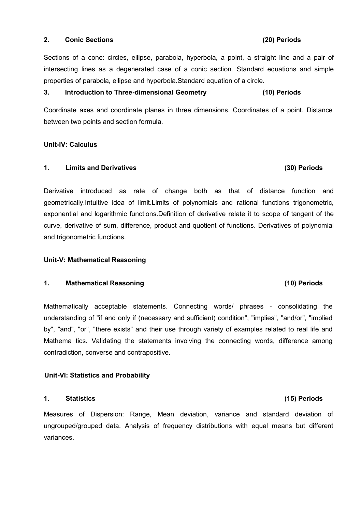## 2. Conic Sections (20) Periods

Sections of a cone: circles, ellipse, parabola, hyperbola, a point, a straight line and a pair of intersecting lines as a degenerated case of a conic section. Standard equations and simple properties of parabola, ellipse and hyperbola.Standard equation of a circle.

## 3. Introduction to Three-dimensional Geometry (10) Periods

Coordinate axes and coordinate planes in three dimensions. Coordinates of a point. Distance between two points and section formula.

## Unit-IV: Calculus

## 1. Limits and Derivatives (30) Periods

Derivative introduced as rate of change both as that of distance function and geometrically.Intuitive idea of limit.Limits of polynomials and rational functions trigonometric, exponential and logarithmic functions.Definition of derivative relate it to scope of tangent of the curve, derivative of sum, difference, product and quotient of functions. Derivatives of polynomial and trigonometric functions.

## Unit-V: Mathematical Reasoning

## 1. Mathematical Reasoning (10) Periods

Mathematically acceptable statements. Connecting words/ phrases - consolidating the understanding of "if and only if (necessary and sufficient) condition", "implies", "and/or", "implied by", "and", "or", "there exists" and their use through variety of examples related to real life and Mathema tics. Validating the statements involving the connecting words, difference among contradiction, converse and contrapositive.

## Unit-VI: Statistics and Probability

## 1. Statistics (15) Periods

Measures of Dispersion: Range, Mean deviation, variance and standard deviation of ungrouped/grouped data. Analysis of frequency distributions with equal means but different variances.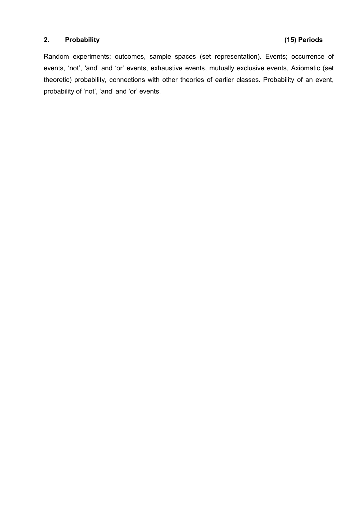## 2. Probability (15) Periods

Random experiments; outcomes, sample spaces (set representation). Events; occurrence of events, 'not', 'and' and 'or' events, exhaustive events, mutually exclusive events, Axiomatic (set theoretic) probability, connections with other theories of earlier classes. Probability of an event, probability of 'not', 'and' and 'or' events.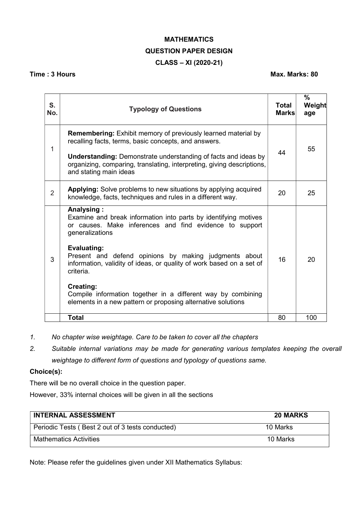# MATHEMATICS QUESTION PAPER DESIGN CLASS – XI (2020-21)

## Time : 3 Hours Max. Marks: 80

| S.<br>No.      | <b>Typology of Questions</b>                                                                                                                                                                                                                                                                              | Total<br><b>Marks</b> | %<br>Weight<br>age |
|----------------|-----------------------------------------------------------------------------------------------------------------------------------------------------------------------------------------------------------------------------------------------------------------------------------------------------------|-----------------------|--------------------|
| 1              | <b>Remembering:</b> Exhibit memory of previously learned material by<br>recalling facts, terms, basic concepts, and answers.<br><b>Understanding:</b> Demonstrate understanding of facts and ideas by<br>organizing, comparing, translating, interpreting, giving descriptions,<br>and stating main ideas | 44                    | 55                 |
| $\overline{2}$ | <b>Applying:</b> Solve problems to new situations by applying acquired<br>knowledge, facts, techniques and rules in a different way.                                                                                                                                                                      | 20                    | 25                 |
| 3              | Analysing:<br>Examine and break information into parts by identifying motives<br>or causes. Make inferences and find evidence to support<br>generalizations                                                                                                                                               |                       |                    |
|                | Evaluating:<br>Present and defend opinions by making judgments about<br>16<br>information, validity of ideas, or quality of work based on a set of<br>criteria.                                                                                                                                           |                       | 20                 |
|                | Creating:<br>Compile information together in a different way by combining<br>elements in a new pattern or proposing alternative solutions                                                                                                                                                                 |                       |                    |
|                | <b>Total</b>                                                                                                                                                                                                                                                                                              | 80                    | 100                |

- 1. No chapter wise weightage. Care to be taken to cover all the chapters
- 2. Suitable internal variations may be made for generating various templates keeping the overall weightage to different form of questions and typology of questions same.

## Choice(s):

There will be no overall choice in the question paper.

However, 33% internal choices will be given in all the sections

| <b>INTERNAL ASSESSMENT</b>                       | <b>20 MARKS</b> |
|--------------------------------------------------|-----------------|
| Periodic Tests (Best 2 out of 3 tests conducted) | 10 Marks        |
| <b>Mathematics Activities</b>                    | 10 Marks        |

Note: Please refer the guidelines given under XII Mathematics Syllabus: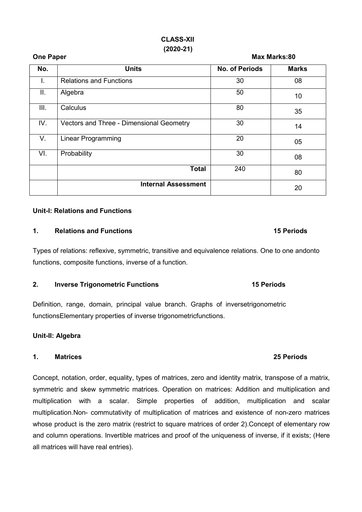## CLASS-XII (2020-21)

# No. No. No. 2010 No. 2010 No. of Periods Marks I. Relations and Functions and Superior Contract in the Contract of the Contract of the Contract of the Contract of the Contract of the Contract of the Contract of the Contract of the Contract of the Contract of the Contra II.  $\begin{vmatrix} \text{Algebra} \end{vmatrix}$  50  $\begin{vmatrix} 10 & 10 \end{vmatrix}$  50  $\begin{vmatrix} 10 & 10 \end{vmatrix}$ III.  $\begin{array}{|c|c|c|c|c|}\n\hline\n&35\end{array}$ IV. Vectors and Three - Dimensional Geometry 130 14 V. Linear Programming 20 05 VI. Probability  $30$  08 Total  $\begin{array}{|c|c|c|c|}\n\hline\n240&\quad80\n\end{array}$ Internal Assessment 20

## Unit-I: Relations and Functions

## 1. Relations and Functions 15 Periods 15 Periods 15 Periods

Types of relations: reflexive, symmetric, transitive and equivalence relations. One to one andonto functions, composite functions, inverse of a function.

## 2. Inverse Trigonometric Functions 15 Periods

Definition, range, domain, principal value branch. Graphs of inversetrigonometric functionsElementary properties of inverse trigonometricfunctions.

## Unit-II: Algebra

## 1. Matrices 25 Periods

Concept, notation, order, equality, types of matrices, zero and identity matrix, transpose of a matrix, symmetric and skew symmetric matrices. Operation on matrices: Addition and multiplication and multiplication with a scalar. Simple properties of addition, multiplication and scalar multiplication.Non- commutativity of multiplication of matrices and existence of non-zero matrices whose product is the zero matrix (restrict to square matrices of order 2).Concept of elementary row and column operations. Invertible matrices and proof of the uniqueness of inverse, if it exists; (Here all matrices will have real entries).

One Paper Max Marks:80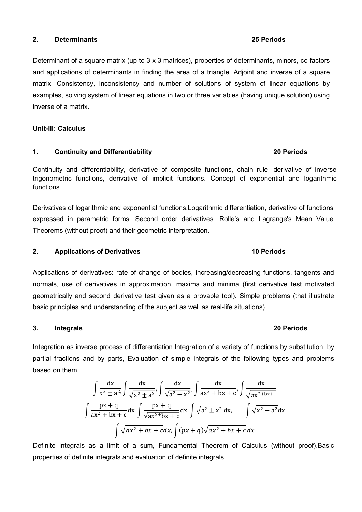## 2. Determinants 25 Periods

Determinant of a square matrix (up to 3 x 3 matrices), properties of determinants, minors, co-factors and applications of determinants in finding the area of a triangle. Adjoint and inverse of a square matrix. Consistency, inconsistency and number of solutions of system of linear equations by examples, solving system of linear equations in two or three variables (having unique solution) using inverse of a matrix.

## Unit-III: Calculus

## 1. Continuity and Differentiability 20 Periods

Continuity and differentiability, derivative of composite functions, chain rule, derivative of inverse trigonometric functions, derivative of implicit functions. Concept of exponential and logarithmic functions.

Derivatives of logarithmic and exponential functions.Logarithmic differentiation, derivative of functions expressed in parametric forms. Second order derivatives. Rolle's and Lagrange's Mean Value Theorems (without proof) and their geometric interpretation.

## 2. Applications of Derivatives 10 Periods

Applications of derivatives: rate of change of bodies, increasing/decreasing functions, tangents and normals, use of derivatives in approximation, maxima and minima (first derivative test motivated geometrically and second derivative test given as a provable tool). Simple problems (that illustrate basic principles and understanding of the subject as well as real-life situations).

## 3. Integrals 20 Periods

Integration as inverse process of differentiation.Integration of a variety of functions by substitution, by partial fractions and by parts, Evaluation of simple integrals of the following types and problems based on them.

$$
\int \frac{dx}{x^2 \pm a^2} \int \frac{dx}{\sqrt{x^2 \pm a^2}}, \int \frac{dx}{\sqrt{a^2 - x^2}}, \int \frac{dx}{ax^2 + bx + c}, \int \frac{dx}{\sqrt{ax^2 + bx + c}}
$$

$$
\int \frac{px + q}{ax^2 + bx + c} dx, \int \frac{px + q}{\sqrt{ax^2 + bx + c}} dx, \int \sqrt{a^2 \pm x^2} dx, \int \sqrt{x^2 - a^2} dx
$$

$$
\int \sqrt{ax^2 + bx + c} dx, \int (px + q) \sqrt{ax^2 + bx + c} dx
$$

Definite integrals as a limit of a sum, Fundamental Theorem of Calculus (without proof).Basic properties of definite integrals and evaluation of definite integrals.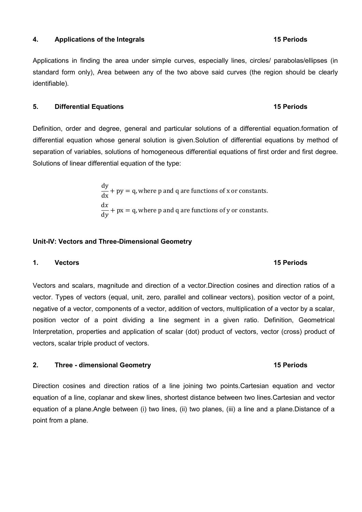## 4. Applications of the Integrals 15 Periods 15 Periods

Applications in finding the area under simple curves, especially lines, circles/ parabolas/ellipses (in standard form only), Area between any of the two above said curves (the region should be clearly identifiable).

## 5. Differential Equations 15 Periods

# Definition, order and degree, general and particular solutions of a differential equation.formation of differential equation whose general solution is given.Solution of differential equations by method of separation of variables, solutions of homogeneous differential equations of first order and first degree. Solutions of linear differential equation of the type:

 $\frac{dy}{dx}$  + py = q, where p and q are functions of x or constants.  $dx$  $\frac{dx}{dy}$  + px = q, where p and q are functions of y or constants.

## Unit-IV: Vectors and Three-Dimensional Geometry

## 1. Vectors 15 Periods

# Vectors and scalars, magnitude and direction of a vector.Direction cosines and direction ratios of a vector. Types of vectors (equal, unit, zero, parallel and collinear vectors), position vector of a point, negative of a vector, components of a vector, addition of vectors, multiplication of a vector by a scalar, position vector of a point dividing a line segment in a given ratio. Definition, Geometrical Interpretation, properties and application of scalar (dot) product of vectors, vector (cross) product of vectors, scalar triple product of vectors.

## 2. Three - dimensional Geometry **15 Periods**

Direction cosines and direction ratios of a line joining two points.Cartesian equation and vector equation of a line, coplanar and skew lines, shortest distance between two lines.Cartesian and vector equation of a plane.Angle between (i) two lines, (ii) two planes, (iii) a line and a plane.Distance of a point from a plane.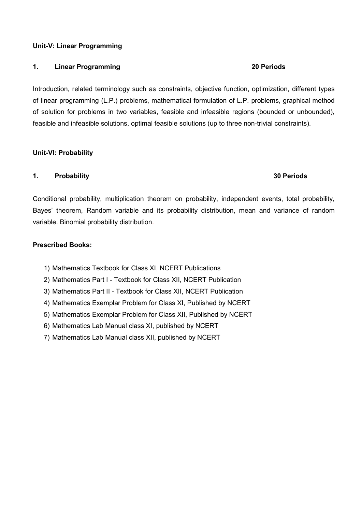## Unit-V: Linear Programming

## 1. Linear Programming **20 Periods**

Introduction, related terminology such as constraints, objective function, optimization, different types of linear programming (L.P.) problems, mathematical formulation of L.P. problems, graphical method of solution for problems in two variables, feasible and infeasible regions (bounded or unbounded), feasible and infeasible solutions, optimal feasible solutions (up to three non-trivial constraints).

## Unit-VI: Probability

## 1. Probability 30 Periods

# Conditional probability, multiplication theorem on probability, independent events, total probability, Bayes' theorem, Random variable and its probability distribution, mean and variance of random variable. Binomial probability distribution.

## Prescribed Books:

- 1) Mathematics Textbook for Class XI, NCERT Publications
- 2) Mathematics Part I Textbook for Class XII, NCERT Publication
- 3) Mathematics Part II Textbook for Class XII, NCERT Publication
- 4) Mathematics Exemplar Problem for Class XI, Published by NCERT
- 5) Mathematics Exemplar Problem for Class XII, Published by NCERT
- 6) Mathematics Lab Manual class XI, published by NCERT
- 7) Mathematics Lab Manual class XII, published by NCERT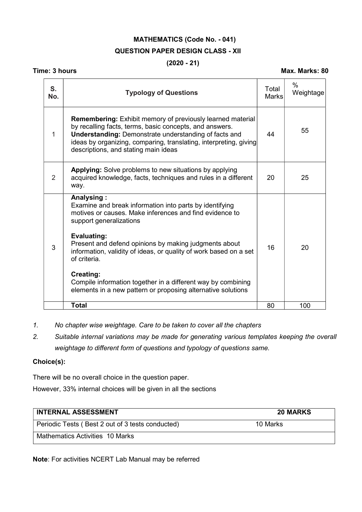# MATHEMATICS (Code No. - 041) QUESTION PAPER DESIGN CLASS - XII

## $(2020 - 21)$

## Time: 3 hours Max. Marks: 80

| S.<br>No. | <b>Typology of Questions</b>                                                                                                                                                                                                                                                                              | Total<br><b>Marks</b> | $\%$<br>Weightage |
|-----------|-----------------------------------------------------------------------------------------------------------------------------------------------------------------------------------------------------------------------------------------------------------------------------------------------------------|-----------------------|-------------------|
| 1         | <b>Remembering:</b> Exhibit memory of previously learned material<br>by recalling facts, terms, basic concepts, and answers.<br><b>Understanding: Demonstrate understanding of facts and</b><br>ideas by organizing, comparing, translating, interpreting, giving<br>descriptions, and stating main ideas | 44                    | 55                |
| 2         | <b>Applying:</b> Solve problems to new situations by applying<br>acquired knowledge, facts, techniques and rules in a different<br>way.                                                                                                                                                                   | 20                    | 25                |
|           | Analysing:<br>Examine and break information into parts by identifying<br>motives or causes. Make inferences and find evidence to<br>support generalizations                                                                                                                                               |                       |                   |
| 3         | <b>Evaluating:</b><br>Present and defend opinions by making judgments about<br>information, validity of ideas, or quality of work based on a set<br>of criteria.                                                                                                                                          | 16                    | 20                |
|           | Creating:<br>Compile information together in a different way by combining<br>elements in a new pattern or proposing alternative solutions                                                                                                                                                                 |                       |                   |
|           | <b>Total</b>                                                                                                                                                                                                                                                                                              | 80                    | 100               |

1. No chapter wise weightage. Care to be taken to cover all the chapters

2. Suitable internal variations may be made for generating various templates keeping the overall weightage to different form of questions and typology of questions same.

## Choice(s):

There will be no overall choice in the question paper.

However, 33% internal choices will be given in all the sections

| <b>INTERNAL ASSESSMENT</b>                       | <b>20 MARKS</b> |
|--------------------------------------------------|-----------------|
| Periodic Tests (Best 2 out of 3 tests conducted) | 10 Marks        |
| Mathematics Activities 10 Marks                  |                 |

Note: For activities NCERT Lab Manual may be referred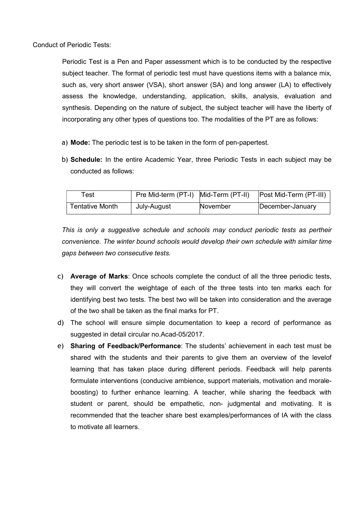Conduct of Periodic Tests:

Periodic Test is a Pen and Paper assessment which is to be conducted by the respective subject teacher. The format of periodic test must have questions items with a balance mix, such as, very short answer (VSA), short answer (SA) and long answer (LA) to effectively assess the knowledge, understanding, application, skills, analysis, evaluation and synthesis. Depending on the nature of subject, the subject teacher will have the liberty of incorporating any other types of questions too. The modalities of the PT are as follows:

- a) Mode: The periodic test is to be taken in the form of pen-papertest.
- b) Schedule: In the entire Academic Year, three Periodic Tests in each subject may be conducted as follows:

| Гest            | Pre Mid-term (PT-I) Mid-Term (PT-II) |          | <b>Post Mid-Term (PT-III)</b> |
|-----------------|--------------------------------------|----------|-------------------------------|
| Tentative Month | July-August                          | November | December-January              |

This is only a suggestive schedule and schools may conduct periodic tests as pertheir convenience. The winter bound schools would develop their own schedule with similar time gaps between two consecutive tests.

- c) Average of Marks: Once schools complete the conduct of all the three periodic tests, they will convert the weightage of each of the three tests into ten marks each for identifying best two tests. The best two will be taken into consideration and the average of the two shall be taken as the final marks for PT.
- d) The school will ensure simple documentation to keep a record of performance as suggested in detail circular no.Acad-05/2017.
- e) Sharing of Feedback/Performance: The students' achievement in each test must be shared with the students and their parents to give them an overview of the levelof learning that has taken place during different periods. Feedback will help parents formulate interventions (conducive ambience, support materials, motivation and moraleboosting) to further enhance learning. A teacher, while sharing the feedback with student or parent, should be empathetic, non- judgmental and motivating. It is recommended that the teacher share best examples/performances of IA with the class to motivate all learners.